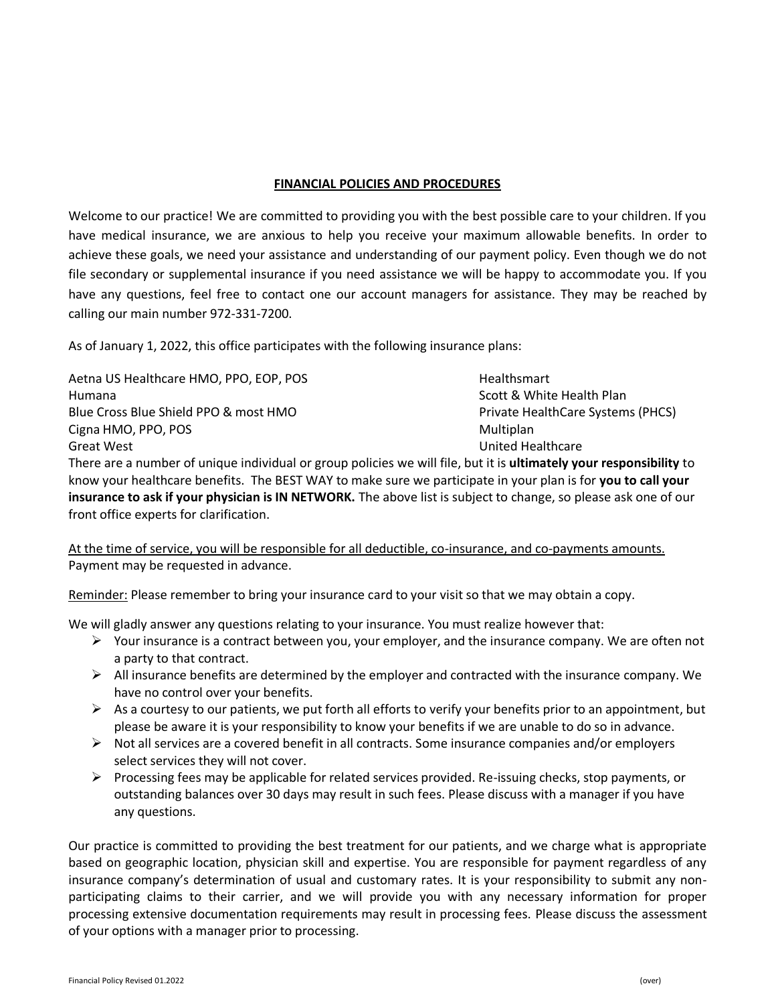## **FINANCIAL POLICIES AND PROCEDURES**

Welcome to our practice! We are committed to providing you with the best possible care to your children. If you have medical insurance, we are anxious to help you receive your maximum allowable benefits. In order to achieve these goals, we need your assistance and understanding of our payment policy. Even though we do not file secondary or supplemental insurance if you need assistance we will be happy to accommodate you. If you have any questions, feel free to contact one our account managers for assistance. They may be reached by calling our main number 972-331-7200.

As of January 1, 2022, this office participates with the following insurance plans:

Aetna US Healthcare HMO, PPO, EOP, POS FORD MEASURE HEALTH HEALTH HEALTH HEALTH HEALTH Humana **Scott & White Health Plan** Blue Cross Blue Shield PPO & most HMO **Private HealthCare Systems (PHCS)** Private HealthCare Systems (PHCS) Cigna HMO, PPO, POS No. 2006 Nulliplan Great West **Contract Contract Contract Contract Contract Contract Contract Contract Contract Contract Contract Contract Contract Contract Contract Contract Contract Contract Contract Contract Contract Contract Contract Con** 

There are a number of unique individual or group policies we will file, but it is **ultimately your responsibility** to know your healthcare benefits. The BEST WAY to make sure we participate in your plan is for **you to call your insurance to ask if your physician is IN NETWORK.** The above list is subject to change, so please ask one of our front office experts for clarification.

At the time of service, you will be responsible for all deductible, co-insurance, and co-payments amounts. Payment may be requested in advance.

Reminder: Please remember to bring your insurance card to your visit so that we may obtain a copy.

We will gladly answer any questions relating to your insurance. You must realize however that:

- $\triangleright$  Your insurance is a contract between you, your employer, and the insurance company. We are often not a party to that contract.
- $\triangleright$  All insurance benefits are determined by the employer and contracted with the insurance company. We have no control over your benefits.
- $\triangleright$  As a courtesy to our patients, we put forth all efforts to verify your benefits prior to an appointment, but please be aware it is your responsibility to know your benefits if we are unable to do so in advance.
- $\triangleright$  Not all services are a covered benefit in all contracts. Some insurance companies and/or employers select services they will not cover.
- $\triangleright$  Processing fees may be applicable for related services provided. Re-issuing checks, stop payments, or outstanding balances over 30 days may result in such fees. Please discuss with a manager if you have any questions.

Our practice is committed to providing the best treatment for our patients, and we charge what is appropriate based on geographic location, physician skill and expertise. You are responsible for payment regardless of any insurance company's determination of usual and customary rates. It is your responsibility to submit any nonparticipating claims to their carrier, and we will provide you with any necessary information for proper processing extensive documentation requirements may result in processing fees. Please discuss the assessment of your options with a manager prior to processing.